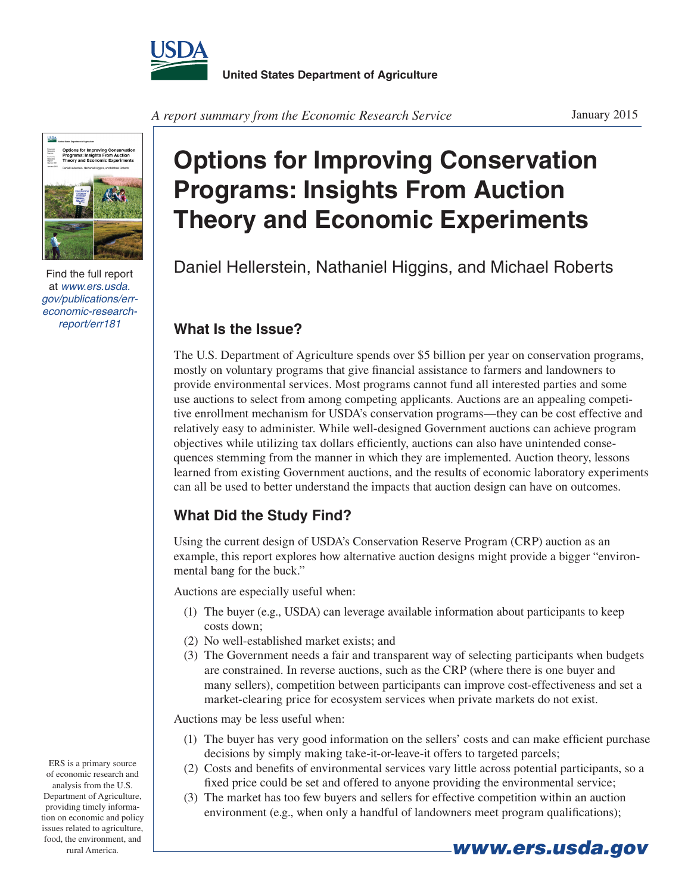



Find the full report at *www.ers.usda. gov/publications/erreconomic-researchreport/err181*

**Options for Improving Conservation Programs: Insights From Auction Theory and Economic Experiments**

Daniel Hellerstein, Nathaniel Higgins, and Michael Roberts

## **What Is the Issue?**

The U.S. Department of Agriculture spends over \$5 billion per year on conservation programs, mostly on voluntary programs that give financial assistance to farmers and landowners to provide environmental services. Most programs cannot fund all interested parties and some use auctions to select from among competing applicants. Auctions are an appealing competitive enrollment mechanism for USDA's conservation programs—they can be cost effective and relatively easy to administer. While well-designed Government auctions can achieve program objectives while utilizing tax dollars efficiently, auctions can also have unintended consequences stemming from the manner in which they are implemented. Auction theory, lessons learned from existing Government auctions, and the results of economic laboratory experiments can all be used to better understand the impacts that auction design can have on outcomes.

## **What Did the Study Find?**

Using the current design of USDA's Conservation Reserve Program (CRP) auction as an example, this report explores how alternative auction designs might provide a bigger "environmental bang for the buck."

Auctions are especially useful when:

- (1) The buyer (e.g., USDA) can leverage available information about participants to keep costs down;
- (2) No well-established market exists; and
- (3) The Government needs a fair and transparent way of selecting participants when budgets are constrained. In reverse auctions, such as the CRP (where there is one buyer and many sellers), competition between participants can improve cost-effectiveness and set a market-clearing price for ecosystem services when private markets do not exist.

Auctions may be less useful when:

- (1) The buyer has very good information on the sellers' costs and can make efficient purchase decisions by simply making take-it-or-leave-it offers to targeted parcels;
- (2) Costs and benefits of environmental services vary little across potential participants, so a fixed price could be set and offered to anyone providing the environmental service;
- (3) The market has too few buyers and sellers for effective competition within an auction environment (e.g., when only a handful of landowners meet program qualifications);

ERS is a primary source of economic research and analysis from the U.S. Department of Agriculture, providing timely information on economic and policy issues related to agriculture, food, the environment, and